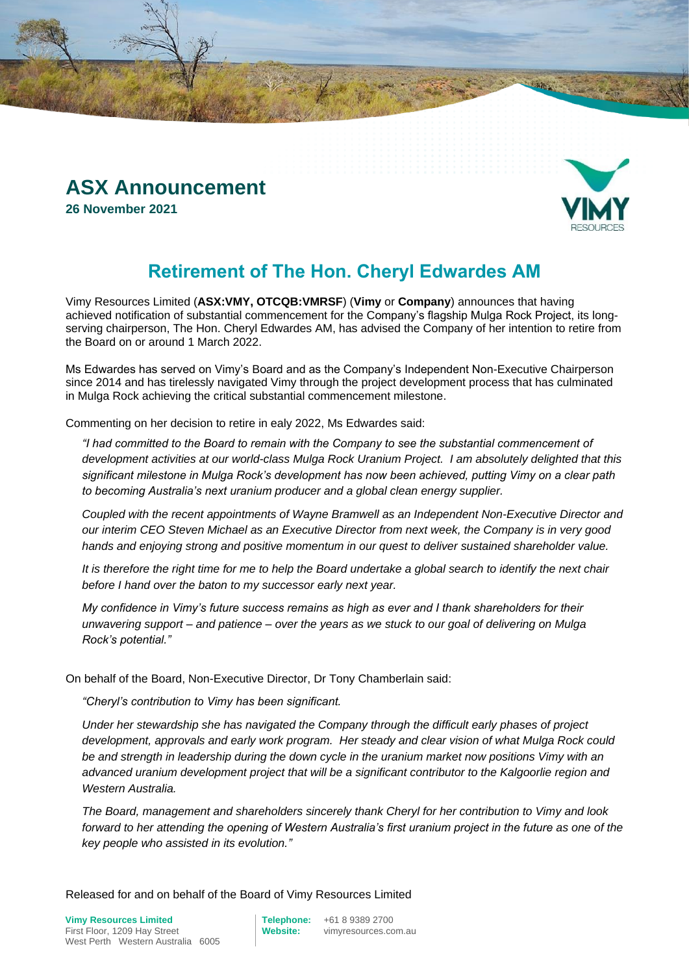# **ASX Announcement**

**26 November 2021**



# **Retirement of The Hon. Cheryl Edwardes AM**

Vimy Resources Limited (**ASX:VMY, OTCQB:VMRSF**) (**Vimy** or **Company**) announces that having achieved notification of substantial commencement for the Company's flagship Mulga Rock Project, its longserving chairperson, The Hon. Cheryl Edwardes AM, has advised the Company of her intention to retire from the Board on or around 1 March 2022.

Ms Edwardes has served on Vimy's Board and as the Company's Independent Non-Executive Chairperson since 2014 and has tirelessly navigated Vimy through the project development process that has culminated in Mulga Rock achieving the critical substantial commencement milestone.

Commenting on her decision to retire in ealy 2022, Ms Edwardes said:

*"I had committed to the Board to remain with the Company to see the substantial commencement of development activities at our world-class Mulga Rock Uranium Project. I am absolutely delighted that this significant milestone in Mulga Rock's development has now been achieved, putting Vimy on a clear path to becoming Australia's next uranium producer and a global clean energy supplier.*

*Coupled with the recent appointments of Wayne Bramwell as an Independent Non-Executive Director and our interim CEO Steven Michael as an Executive Director from next week, the Company is in very good hands and enjoying strong and positive momentum in our quest to deliver sustained shareholder value.*

*It is therefore the right time for me to help the Board undertake a global search to identify the next chair before I hand over the baton to my successor early next year.*

*My confidence in Vimy's future success remains as high as ever and I thank shareholders for their unwavering support – and patience – over the years as we stuck to our goal of delivering on Mulga Rock's potential."*

On behalf of the Board, Non-Executive Director, Dr Tony Chamberlain said:

*"Cheryl's contribution to Vimy has been significant.*

*Under her stewardship she has navigated the Company through the difficult early phases of project development, approvals and early work program. Her steady and clear vision of what Mulga Rock could be and strength in leadership during the down cycle in the uranium market now positions Vimy with an advanced uranium development project that will be a significant contributor to the Kalgoorlie region and Western Australia.*

*The Board, management and shareholders sincerely thank Cheryl for her contribution to Vimy and look forward to her attending the opening of Western Australia's first uranium project in the future as one of the key people who assisted in its evolution."*

Released for and on behalf of the Board of Vimy Resources Limited